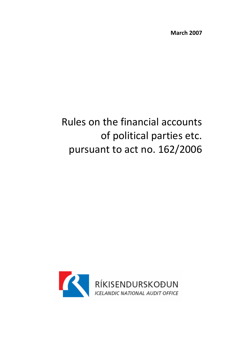March 2007

# Rules on the financial accounts of political parties etc. pursuant to act no. 162/2006

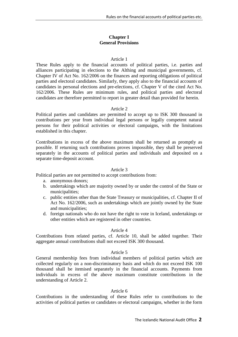# **Chapter I General Provisions**

## Article 1

These Rules apply to the financial accounts of political parties, i.e. parties and alliances participating in elections to the Althing and municipal governments, cf. Chapter IV of Act No. 162/2006 on the finances and reporting obligations of political parties and electoral candidates. Similarly, they apply also to the financial accounts of candidates in personal elections and pre-elections, cf. Chapter V of the cited Act No. 162/2006. These Rules are minimum rules, and political parties and electoral candidates are therefore permitted to report in greater detail than provided for herein.

## Article 2

Political parties and candidates are permitted to accept up to ISK 300 thousand in contributions per year from individual legal persons or legally competent natural persons for their political activities or electoral campaigns, with the limitations established in this chapter.

Contributions in excess of the above maximum shall be returned as promptly as possible. If returning such contributions proves impossible, they shall be preserved separately in the accounts of political parties and individuals and deposited on a separate time-deposit account.

## Article 3

Political parties are not permitted to accept contributions from:

- a. anonymous donors;
- b. undertakings which are majority owned by or under the control of the State or municipalities;
- c. public entities other than the State Treasury or municipalities, cf. Chapter II of Act No. 162/2006, such as undertakings which are jointly owned by the State and municipalities;
- d. foreign nationals who do not have the right to vote in Iceland, undertakings or other entities which are registered in other countries.

#### Article 4

Contributions from related parties, cf. Article 10, shall be added together. Their aggregate annual contributions shall not exceed ISK 300 thousand.

#### Article 5

General membership fees from individual members of political parties which are collected regularly on a non-discriminatory basis and which do not exceed ISK 100 thousand shall be itemised separately in the financial accounts. Payments from individuals in excess of the above maximum constitute contributions in the understanding of Article 2.

### Article 6

Contributions in the understanding of these Rules refer to contributions to the activities of political parties or candidates or electoral campaigns, whether in the form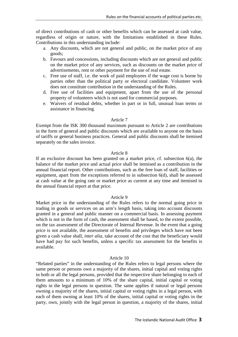of direct contributions of cash or other benefits which can be assessed at cash value, regardless of origin or nature, with the limitations established in these Rules. Contributions in this understanding include:

- a. Any discounts, which are not general and public, on the market price of any goods;
- b. Favours and concessions, including discounts which are not general and public on the market price of any services, such as discounts on the market price of advertisements, rent or other payment for the use of real estate.
- c. Free use of staff, i.e. the work of paid employees if the wage cost is borne by parties other than the political party or electoral candidate. Volunteer work does not constitute contribution in the understanding of the Rules.
- d. Free use of facilities and equipment, apart from the use of the personal property of volunteers which is not used for commercial purposes.
- e. Waivers of residual debts, whether in part or in full, unusual loan terms or assistance in financing.

### Article 7

Exempt from the ISK 300 thousand maximum pursuant to Article 2 are contributions in the form of general and public discounts which are available to anyone on the basis of tariffs or general business practices. General and public discounts shall be itemised separately on the sales invoice.

#### Article 8

If an exclusive discount has been granted on a market price, cf. subsection 6(a), the balance of the market price and actual price shall be itemised as a contribution in the annual financial report. Other contributions, such as the free loan of staff, facilities or equipment, apart from the exceptions referred to in subsection 6(d), shall be assessed at cash value at the going rate or market price as current at any time and itemised in the annual financial report at that price.

### Article 9

Market price in the understanding of the Rules refers to the normal going price in trading in goods or services on an arm's length basis, taking into account discounts granted in a general and public manner on a commercial basis. In assessing payment which is not in the form of cash, the assessment shall be based, to the extent possible, on the tax assessment of the Directorate of Internal Revenue. In the event that a going price is not available, the assessment of benefits and privileges which have not been given a cash value shall, *inter alia*, take account of the cost that the beneficiary would have had pay for such benefits, unless a specific tax assessment for the benefits is available.

#### Article 10

"Related parties" in the understanding of the Rules refers to legal persons where the same person or persons own a majority of the shares, initial capital and voting rights in both or all the legal persons, provided that the respective share belonging to each of them amounts to a minimum of 10% of the share capital, initial capital or voting rights in the legal persons in question. The same applies if natural or legal persons owning a majority of the shares, initial capital or voting rights in a legal person, with each of them owning at least 10% of the shares, initial capital or voting rights in the party, own, jointly with the legal person in question, a majority of the shares, initial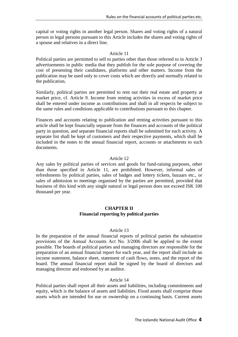capital or voting rights in another legal person. Shares and voting rights of a natural person in legal persons pursuant to this Article includes the shares and voting rights of a spouse and relatives in a direct line.

## Article 11

Political parties are permitted to sell to parties other than those referred to in Article 3 advertisements in public media that they publish for the sole purpose of covering the cost of presenting their candidates, platforms and other matters. Income from the publication may be used only to cover costs which are directly and normally related to the publication.

Similarly, political parties are permitted to rent out their real estate and property at market price, cf. Article 9. Income from renting activities in excess of market price shall be entered under income as contributions and shall in all respects be subject to the same rules and conditions applicable to contributions pursuant to this chapter.

Finances and accounts relating to publication and renting activities pursuant to this article shall be kept financially separate from the finances and accounts of the political party in question, and separate financial reports shall be submitted for each activity. A separate list shall be kept of customers and their respective payments, which shall be included in the notes to the annual financial report, accounts or attachments to such documents.

## Article 12

Any sales by political parties of services and goods for fund-raising purposes, other than those specified in Article 11, are prohibited. However, informal sales of refreshments by political parties, sales of badges and lottery tickets, bazaars etc., or sales of admission to meetings organised by the parties are permitted, provided that business of this kind with any single natural or legal person does not exceed ISK 100 thousand per year.

## **CHAPTER II Financial reporting by political parties**

#### Article 13

In the preparation of the annual financial reports of political parties the substantive provisions of the Annual Accounts Act No. 3/2006 shall be applied to the extent possible. The boards of political parties and managing directors are responsible for the preparation of an annual financial report for each year, and the report shall include an income statement, balance sheet, statement of cash flows, notes, and the report of the board. The annual financial report shall be signed by the board of directors and managing director and endorsed by an auditor.

#### Article 14

Political parties shall report all their assets and liabilities, including commitments and equity, which is the balance of assets and liabilities. Fixed assets shall comprise those assets which are intended for use or ownership on a continuing basis. Current assets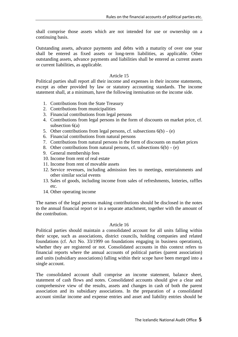shall comprise those assets which are not intended for use or ownership on a continuing basis.

Outstanding assets, advance payments and debts with a maturity of over one year shall be entered as fixed assets or long-term liabilities, as applicable. Other outstanding assets, advance payments and liabilities shall be entered as current assets or current liabilities, as applicable.

## Article 15

Political parties shall report all their income and expenses in their income statements, except as other provided by law or statutory accounting standards. The income statement shall, at a minimum, have the following itemisation on the income side.

- 1. Contributions from the State Treasury
- 2. Contributions from municipalities
- 3. Financial contributions from legal persons
- 4. Contributions from legal persons in the form of discounts on market price, cf. subsection 6(a)
- 5. Other contributions from legal persons, cf. subsections  $6(b) (e)$
- 6. Financial contributions from natural persons
- 7. Contributions from natural persons in the form of discounts on market prices
- 8. Other contributions from natural persons, cf. subsections  $6(b) (e)$
- 9. General membership fees
- 10. Income from rent of real estate
- 11. Income from rent of movable assets
- 12. Service revenues, including admission fees to meetings, entertainments and other similar social events
- 13. Sales of goods, including income from sales of refreshments, lotteries, raffles etc.
- 14. Other operating income

The names of the legal persons making contributions should be disclosed in the notes to the annual financial report or in a separate attachment, together with the amount of the contribution.

## Article 16

Political parties should maintain a consolidated account for all units falling within their scope, such as associations, district councils, holding companies and related foundations (cf. Act No. 33/1999 on foundations engaging in business operations), whether they are registered or not. Consolidated accounts in this context refers to financial reports where the annual accounts of political parties (parent association) and units (subsidiary associations) falling within their scope have been merged into a single account.

The consolidated account shall comprise an income statement, balance sheet, statement of cash flows and notes. Consolidated accounts should give a clear and comprehensive view of the results, assets and changes in cash of both the parent association and its subsidiary associations. In the preparation of a consolidated account similar income and expense entries and asset and liability entries should be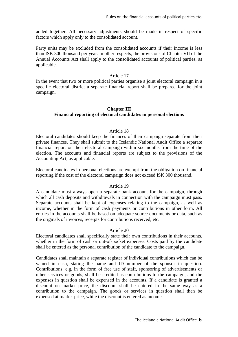added together. All necessary adjustments should be made in respect of specific factors which apply only to the consolidated account.

Party units may be excluded from the consolidated accounts if their income is less than ISK 300 thousand per year. In other respects, the provisions of Chapter VII of the Annual Accounts Act shall apply to the consolidated accounts of political parties, as applicable.

## Article 17

In the event that two or more political parties organise a joint electoral campaign in a specific electoral district a separate financial report shall be prepared for the joint campaign.

# **Chapter III Financial reporting of electoral candidates in personal elections**

## Article 18

Electoral candidates should keep the finances of their campaign separate from their private finances. They shall submit to the Icelandic National Audit Office a separate financial report on their electoral campaign within six months from the time of the election. The accounts and financial reports are subject to the provisions of the Accounting Act, as applicable.

Electoral candidates in personal elections are exempt from the obligation on financial reporting if the cost of the electoral campaign does not exceed ISK 300 thousand.

## Article 19

A candidate must always open a separate bank account for the campaign, through which all cash deposits and withdrawals in connection with the campaign must pass. Separate accounts shall be kept of expenses relating to the campaign, as well as income, whether in the form of cash payments or contributions in other form. All entries in the accounts shall be based on adequate source documents or data, such as the originals of invoices, receipts for contributions received, etc.

#### Article 20

Electoral candidates shall specifically state their own contributions in their accounts, whether in the form of cash or out-of-pocket expenses. Costs paid by the candidate shall be entered as the personal contribution of the candidate to the campaign.

Candidates shall maintain a separate register of individual contributions which can be valued in cash, stating the name and ID number of the sponsor in question. Contributions, e.g. in the form of free use of staff, sponsoring of advertisements or other services or goods, shall be credited as contributions to the campaign, and the expenses in question shall be expensed in the accounts. If a candidate is granted a discount on market price, the discount shall be entered in the same way as a contribution to the campaign. The goods or services in question shall then be expensed at market price, while the discount is entered as income.